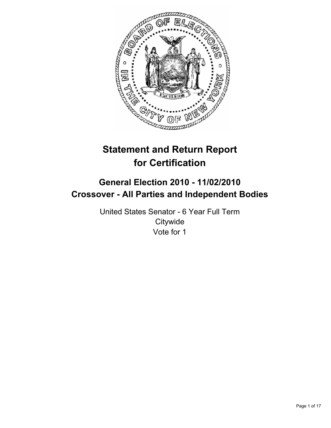

# **Statement and Return Report for Certification**

# **General Election 2010 - 11/02/2010 Crossover - All Parties and Independent Bodies**

United States Senator - 6 Year Full Term **Citywide** Vote for 1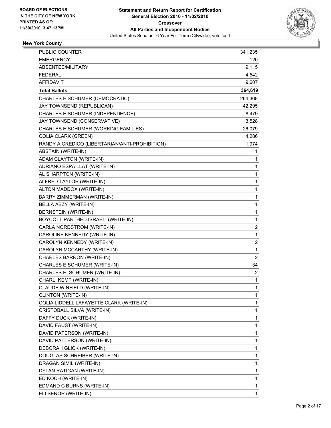

# **New York County**

| PUBLIC COUNTER                                 | 341,235        |
|------------------------------------------------|----------------|
| EMERGENCY                                      | 120            |
| ABSENTEE/MILITARY                              | 9,115          |
| <b>FEDERAL</b>                                 | 4,542          |
| <b>AFFIDAVIT</b>                               | 9,607          |
| <b>Total Ballots</b>                           | 364,619        |
| CHARLES E SCHUMER (DEMOCRATIC)                 | 264,368        |
| JAY TOWNSEND (REPUBLICAN)                      | 42,295         |
| CHARLES E SCHUMER (INDEPENDENCE)               | 8,479          |
| JAY TOWNSEND (CONSERVATIVE)                    | 3,528          |
| CHARLES E SCHUMER (WORKING FAMILIES)           | 26,079         |
| <b>COLIA CLARK (GREEN)</b>                     | 4,286          |
| RANDY A CREDICO (LIBERTARIAN/ANTI-PROHIBITION) | 1,974          |
| ABSTAIN (WRITE-IN)                             | 1              |
| ADAM CLAYTON (WRITE-IN)                        | 1              |
| ADRIANO ESPAILLAT (WRITE-IN)                   | 1              |
| AL SHARPTON (WRITE-IN)                         | 1              |
| ALFRED TAYLOR (WRITE-IN)                       | 1              |
| ALTON MADDOX (WRITE-IN)                        | 1              |
| BARRY ZIMMERMAN (WRITE-IN)                     | 1              |
| BELLA ABZY (WRITE-IN)                          | 1              |
| <b>BERNSTEIN (WRITE-IN)</b>                    | 1              |
| BOYCOTT PARTHED ISRAEL! (WRITE-IN)             | 1              |
| CARLA NORDSTROM (WRITE-IN)                     | 2              |
| CAROLINE KENNEDY (WRITE-IN)                    | 1              |
| CAROLYN KENNEDY (WRITE-IN)                     | 2              |
| CAROLYN MCCARTHY (WRITE-IN)                    | 1              |
| CHARLES BARRON (WRITE-IN)                      | $\overline{2}$ |
| CHARLES E SCHUMER (WRITE-IN)                   | 34             |
| CHARLES E. SCHUMER (WRITE-IN)                  | 2              |
| CHARLI KEMP (WRITE-IN)                         | 1              |
| CLAUDE WINFIELD (WRITE-IN)                     | 1              |
| CLINTON (WRITE-IN)                             | 1              |
| COLIA LIDDELL LAFAYETTE CLARK (WRITE-IN)       | 1              |
| CRISTOBALL SILVA (WRITE-IN)                    | 1              |
| DAFFY DUCK (WRITE-IN)                          | 1              |
| DAVID FAUST (WRITE-IN)                         | 1              |
| DAVID PATERSON (WRITE-IN)                      | 1              |
| DAVID PATTERSON (WRITE-IN)                     | 1              |
| DEBORAH GLICK (WRITE-IN)                       | 1              |
| DOUGLAS SCHREIBER (WRITE-IN)                   | 1              |
| DRAGAN SIMIL (WRITE-IN)                        | 1              |
| DYLAN RATIGAN (WRITE-IN)                       | 1              |
| ED KOCH (WRITE-IN)                             | 1              |
| EDMAND C BURNS (WRITE-IN)                      | 1              |
| ELI SENOR (WRITE-IN)                           | $\mathbf{1}$   |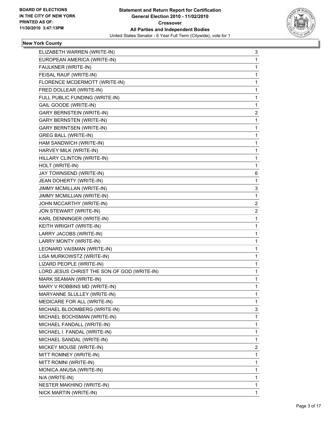

# **New York County**

| ELIZABETH WARREN (WRITE-IN)                 | 3              |
|---------------------------------------------|----------------|
| EUROPEAN AMERICA (WRITE-IN)                 | 1              |
| FAULKNER (WRITE-IN)                         | 1              |
| FEISAL RAUF (WRITE-IN)                      | 1              |
| FLORENCE MCDERMOTT (WRITE-IN)               | 1              |
| FRED DOLLEAR (WRITE-IN)                     | 1              |
| FULL PUBLIC FUNDING (WRITE-IN)              | 1              |
| <b>GAIL GOODE (WRITE-IN)</b>                | 1              |
| <b>GARY BERNSTEIN (WRITE-IN)</b>            | $\overline{2}$ |
| <b>GARY BERNSTEN (WRITE-IN)</b>             | 1              |
| <b>GARY BERNTSEN (WRITE-IN)</b>             | 1              |
| <b>GREG BALL (WRITE-IN)</b>                 | 1              |
| HAM SANDWICH (WRITE-IN)                     | 1              |
| HARVEY MILK (WRITE-IN)                      | 1              |
| HILLARY CLINTON (WRITE-IN)                  | 1              |
| HOLT (WRITE-IN)                             | 1              |
| JAY TOWNSEND (WRITE-IN)                     | 6              |
| JEAN DOHERTY (WRITE-IN)                     | 1              |
| JIMMY MCMILLAN (WRITE-IN)                   | 3              |
| JIMMY MCMILLIAN (WRITE-IN)                  | 1              |
| JOHN MCCARTHY (WRITE-IN)                    | $\overline{2}$ |
| JON STEWART (WRITE-IN)                      | $\overline{c}$ |
| KARL DENNINGER (WRITE-IN)                   | 1              |
| KEITH WRIGHT (WRITE-IN)                     | 1              |
| LARRY JACOBS (WRITE-IN)                     | 1              |
| LARRY MONTY (WRITE-IN)                      | 1              |
| LEONARD VAISMAN (WRITE-IN)                  | 1              |
| LISA MURKOWSTZ (WRITE-IN)                   | 1              |
| LIZARD PEOPLE (WRITE-IN)                    | 1              |
| LORD JESUS CHRIST THE SON OF GOD (WRITE-IN) | 1              |
| MARK SEAMAN (WRITE-IN)                      | 1              |
| MARY V ROBBINS MD (WRITE-IN)                | 1              |
| MARYANNE SLULLEY (WRITE-IN)                 | 1              |
| MEDICARE FOR ALL (WRITE-IN)                 | 1              |
| MICHAEL BLOOMBERG (WRITE-IN)                | 3              |
| MICHAEL BOCHSMAN (WRITE-IN)                 | 1              |
| MICHAEL FANDALL (WRITE-IN)                  | 1              |
| MICHAEL I. FANDAL (WRITE-IN)                | 1              |
| MICHAEL SANDAL (WRITE-IN)                   | 1              |
| MICKEY MOUSE (WRITE-IN)                     | $\mathbf{2}$   |
| MITT ROMNEY (WRITE-IN)                      | 1              |
| MITT ROMNI (WRITE-IN)                       | 1              |
| MONICA ANUSA (WRITE-IN)                     | 1              |
| N/A (WRITE-IN)                              | 1              |
| NESTER MAKHINO (WRITE-IN)                   | 1              |
| NICK MARTIN (WRITE-IN)                      | 1              |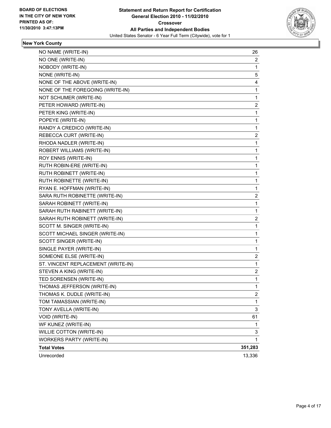

# **New York County**

| NO NAME (WRITE-IN)                 | 26      |
|------------------------------------|---------|
| NO ONE (WRITE-IN)                  | 2       |
| NOBODY (WRITE-IN)                  | 1       |
| NONE (WRITE-IN)                    | 5       |
| NONE OF THE ABOVE (WRITE-IN)       | 4       |
| NONE OF THE FOREGOING (WRITE-IN)   | 1       |
| NOT SCHUMER (WRITE-IN)             | 1       |
| PETER HOWARD (WRITE-IN)            | 2       |
| PETER KING (WRITE-IN)              | 1       |
| POPEYE (WRITE-IN)                  | 1       |
| RANDY A CREDICO (WRITE-IN)         | 1       |
| REBECCA CURT (WRITE-IN)            | 2       |
| RHODA NADLER (WRITE-IN)            | 1       |
| ROBERT WILLIAMS (WRITE-IN)         | 1       |
| ROY ENNIS (WRITE-IN)               | 1       |
| RUTH ROBIN-ERE (WRITE-IN)          | 1       |
| RUTH ROBINETT (WRITE-IN)           | 1       |
| RUTH ROBINETTE (WRITE-IN)          | 1       |
| RYAN E. HOFFMAN (WRITE-IN)         | 1       |
| SARA RUTH ROBINETTE (WRITE-IN)     | 2       |
| SARAH ROBINETT (WRITE-IN)          | 1       |
| SARAH RUTH RABINETT (WRITE-IN)     | 1       |
| SARAH RUTH ROBINETT (WRITE-IN)     | 2       |
| SCOTT M. SINGER (WRITE-IN)         | 1       |
| SCOTT MICHAEL SINGER (WRITE-IN)    | 1       |
| SCOTT SINGER (WRITE-IN)            | 1       |
| SINGLE PAYER (WRITE-IN)            | 1       |
| SOMEONE ELSE (WRITE-IN)            | 2       |
| ST. VINCENT REPLACEMENT (WRITE-IN) | 1       |
| STEVEN A KING (WRITE-IN)           | 2       |
| TED SORENSEN (WRITE-IN)            | 1       |
| THOMAS JEFFERSON (WRITE-IN)        | 1       |
| THOMAS K. DUDLE (WRITE-IN)         | 2       |
| TOM TAMASSIAN (WRITE-IN)           | 1       |
| TONY AVELLA (WRITE-IN)             | 3       |
| VOID (WRITE-IN)                    | 61      |
| WF KUNEZ (WRITE-IN)                | 1       |
| WILLIE COTTON (WRITE-IN)           | 3       |
| <b>WORKERS PARTY (WRITE-IN)</b>    | 1       |
| <b>Total Votes</b>                 | 351,283 |
| Unrecorded                         | 13,336  |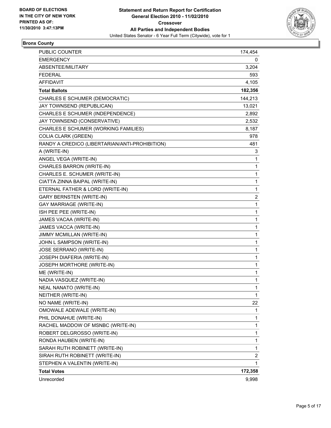

# **Bronx County**

| PUBLIC COUNTER                                 | 174,454 |
|------------------------------------------------|---------|
| <b>EMERGENCY</b>                               | 0       |
| ABSENTEE/MILITARY                              | 3,204   |
| <b>FEDERAL</b>                                 | 593     |
| <b>AFFIDAVIT</b>                               | 4,105   |
| <b>Total Ballots</b>                           | 182,356 |
| CHARLES E SCHUMER (DEMOCRATIC)                 | 144,213 |
| JAY TOWNSEND (REPUBLICAN)                      | 13,021  |
| CHARLES E SCHUMER (INDEPENDENCE)               | 2,892   |
| JAY TOWNSEND (CONSERVATIVE)                    | 2,532   |
| CHARLES E SCHUMER (WORKING FAMILIES)           | 8,187   |
| <b>COLIA CLARK (GREEN)</b>                     | 978     |
| RANDY A CREDICO (LIBERTARIAN/ANTI-PROHIBITION) | 481     |
| A (WRITE-IN)                                   | 3       |
| ANGEL VEGA (WRITE-IN)                          | 1       |
| CHARLES BARRON (WRITE-IN)                      | 1       |
| CHARLES E. SCHUMER (WRITE-IN)                  | 1       |
| CIATTA ZINNA BAIPAL (WRITE-IN)                 | 1       |
| ETERNAL FATHER & LORD (WRITE-IN)               | 1       |
| <b>GARY BERNSTEN (WRITE-IN)</b>                | 2       |
| <b>GAY MARRIAGE (WRITE-IN)</b>                 | 1       |
| ISH PEE PEE (WRITE-IN)                         | 1       |
| JAMES VACAA (WRITE-IN)                         | 1       |
| JAMES VACCA (WRITE-IN)                         | 1       |
| JIMMY MCMILLAN (WRITE-IN)                      | 1       |
| JOHN L SAMPSON (WRITE-IN)                      | 1       |
| JOSE SERRANO (WRITE-IN)                        | 1       |
| JOSEPH DIAFERIA (WRITE-IN)                     | 1       |
| JOSEPH MORTHORE (WRITE-IN)                     | 1       |
| ME (WRITE-IN)                                  | 1       |
| NADIA VASQUEZ (WRITE-IN)                       | 1       |
| NEAL NANATO (WRITE-IN)                         | 1       |
| NEITHER (WRITE-IN)                             | 1       |
| NO NAME (WRITE-IN)                             | 22      |
| OMOWALE ADEWALE (WRITE-IN)                     | 1       |
| PHIL DONAHUE (WRITE-IN)                        | 1       |
| RACHEL MADDOW OF MSNBC (WRITE-IN)              | 1       |
| ROBERT DELGROSSO (WRITE-IN)                    | 1       |
| RONDA HAUBEN (WRITE-IN)                        | 1       |
| SARAH RUTH ROBINETT (WRITE-IN)                 | 1       |
| SIRAH RUTH ROBINETT (WRITE-IN)                 | 2       |
| STEPHEN A VALENTIN (WRITE-IN)                  | 1       |
| <b>Total Votes</b>                             | 172,358 |
| Unrecorded                                     | 9,998   |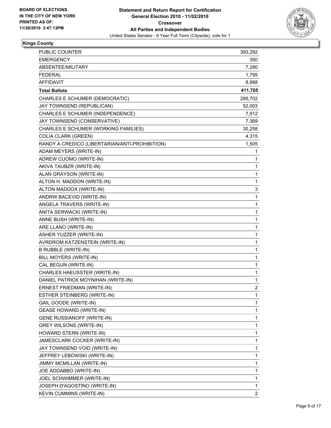

## **Kings County**

| <b>PUBLIC COUNTER</b>                          | 393,292        |
|------------------------------------------------|----------------|
| <b>EMERGENCY</b>                               | 350            |
| ABSENTEE/MILITARY                              | 7,280          |
| <b>FEDERAL</b>                                 | 1,795          |
| <b>AFFIDAVIT</b>                               | 8,988          |
| <b>Total Ballots</b>                           | 411,705        |
| CHARLES E SCHUMER (DEMOCRATIC)                 | 289,702        |
| JAY TOWNSEND (REPUBLICAN)                      | 52,003         |
| CHARLES E SCHUMER (INDEPENDENCE)               | 7,912          |
| JAY TOWNSEND (CONSERVATIVE)                    | 7,369          |
| CHARLES E SCHUMER (WORKING FAMILIES)           | 30,258         |
| <b>COLIA CLARK (GREEN)</b>                     | 4,315          |
| RANDY A CREDICO (LIBERTARIAN/ANTI-PROHIBITION) | 1,505          |
| ADAM MEYERS (WRITE-IN)                         | 1              |
| ADREW CUOMO (WRITE-IN)                         | 1              |
| AKIVA TAUBZR (WRITE-IN)                        | 1              |
| ALAN GRAYSON (WRITE-IN)                        | 1              |
| ALTON H. MADDON (WRITE-IN)                     | 1              |
| ALTON MADDOX (WRITE-IN)                        | 3              |
| ANDRW BACEVID (WRITE-IN)                       | 1              |
| ANGELA TRAVERS (WRITE-IN)                      | 1              |
| ANITA SERWACKI (WRITE-IN)                      | 1              |
| ANNE BUSH (WRITE-IN)                           | 1              |
| ARE LLANO (WRITE-IN)                           | 1              |
| ASHER YUZZER (WRITE-IN)                        | 1              |
| AVRDROM KATZENSTEIN (WRITE-IN)                 | 1              |
| <b>B RUBBLE (WRITE-IN)</b>                     | 1              |
| BILL MOYERS (WRITE-IN)                         | 1              |
| CAL BEGUN (WRITE-IN)                           | 1              |
| CHARLES HAEUSSTER (WRITE-IN)                   | 1              |
| DANIEL PATRICK MOYNIHAN (WRITE-IN)             | 1              |
| ERNEST FRIEDMAN (WRITE-IN)                     | $\overline{2}$ |
| ESTHER STEINBERG (WRITE-IN)                    | 1              |
| <b>GAIL GOODE (WRITE-IN)</b>                   | 1              |
| <b>GEASE HOWARD (WRITE-IN)</b>                 | 1              |
| <b>GENE RUSSIANOFF (WRITE-IN)</b>              | 1              |
| <b>GREY WILSONS (WRITE-IN)</b>                 | 1              |
| HOWARD STERN (WRITE-IN)                        | 1              |
| JAMESCLARK COCKER (WRITE-IN)                   | 1              |
| JAY TOWNSEND VOID (WRITE-IN)                   | 1              |
| JEFFREY LEBOWSKI (WRITE-IN)                    | 1              |
| JIMMY MCMILLAN (WRITE-IN)                      | 1              |
| JOE ADDABBO (WRITE-IN)                         | 1              |
| JOEL SCHWIMMER (WRITE-IN)                      | 1              |
| JOSEPH D'AGOSTINO (WRITE-IN)                   | 1              |
| <b>KEVIN CUMMINS (WRITE-IN)</b>                | $\overline{2}$ |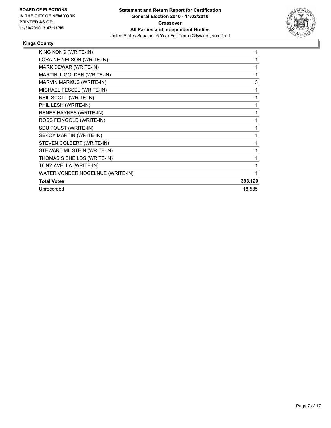

## **Kings County**

| KING KONG (WRITE-IN)             | 1       |
|----------------------------------|---------|
| LORAINE NELSON (WRITE-IN)        | 1       |
| MARK DEWAR (WRITE-IN)            | 1       |
| MARTIN J. GOLDEN (WRITE-IN)      | 1       |
| MARVIN MARKUS (WRITE-IN)         | 3       |
| MICHAEL FESSEL (WRITE-IN)        |         |
| NEIL SCOTT (WRITE-IN)            | 1       |
| PHIL LESH (WRITE-IN)             | 1       |
| RENEE HAYNES (WRITE-IN)          | 1       |
| ROSS FEINGOLD (WRITE-IN)         | 1       |
| SDU FOUST (WRITE-IN)             | 1       |
| SEKOY MARTIN (WRITE-IN)          | 1       |
| STEVEN COLBERT (WRITE-IN)        | 1       |
| STEWART MILSTEIN (WRITE-IN)      | 1       |
| THOMAS S SHEILDS (WRITE-IN)      |         |
| TONY AVELLA (WRITE-IN)           |         |
| WATER VONDER NOGELNUE (WRITE-IN) |         |
| <b>Total Votes</b>               | 393,120 |
| Unrecorded                       | 18,585  |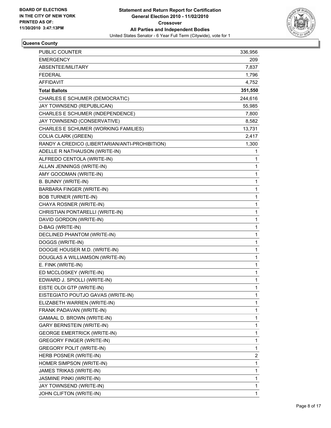

# **Queens County**

| <b>PUBLIC COUNTER</b>                          | 336,956 |
|------------------------------------------------|---------|
| <b>EMERGENCY</b>                               | 209     |
| ABSENTEE/MILITARY                              | 7,837   |
| <b>FEDERAL</b>                                 | 1,796   |
| <b>AFFIDAVIT</b>                               | 4,752   |
| <b>Total Ballots</b>                           | 351,550 |
| CHARLES E SCHUMER (DEMOCRATIC)                 | 244,616 |
| JAY TOWNSEND (REPUBLICAN)                      | 55,985  |
| CHARLES E SCHUMER (INDEPENDENCE)               | 7,800   |
| JAY TOWNSEND (CONSERVATIVE)                    | 8,582   |
| CHARLES E SCHUMER (WORKING FAMILIES)           | 13,731  |
| <b>COLIA CLARK (GREEN)</b>                     | 2,417   |
| RANDY A CREDICO (LIBERTARIAN/ANTI-PROHIBITION) | 1,300   |
| ADELLE R NATHAUSON (WRITE-IN)                  | 1       |
| ALFREDO CENTOLA (WRITE-IN)                     | 1       |
| ALLAN JENNINGS (WRITE-IN)                      | 1       |
| AMY GOODMAN (WRITE-IN)                         | 1       |
| B. BUNNY (WRITE-IN)                            | 1       |
| BARBARA FINGER (WRITE-IN)                      | 1       |
| <b>BOB TURNER (WRITE-IN)</b>                   | 1       |
| CHAYA ROSNER (WRITE-IN)                        | 1       |
| CHRISTIAN PONTARELLI (WRITE-IN)                | 1       |
| DAVID GORDON (WRITE-IN)                        | 1       |
| D-BAG (WRITE-IN)                               | 1       |
| DECLINED PHANTOM (WRITE-IN)                    | 1       |
| DOGGS (WRITE-IN)                               | 1       |
| DOOGIE HOUSER M.D. (WRITE-IN)                  | 1       |
| DOUGLAS A WILLIAMSON (WRITE-IN)                | 1       |
| E. FINK (WRITE-IN)                             | 1       |
| ED MCCLOSKEY (WRITE-IN)                        | 1       |
| EDWARD J. SPIOLLI (WRITE-IN)                   | 1       |
| EISTE OLOI GTP (WRITE-IN)                      | 1       |
| EISTEGIATO POUTJO GAVAS (WRITE-IN)             | 1       |
| ELIZABETH WARREN (WRITE-IN)                    | 1       |
| FRANK PADAVAN (WRITE-IN)                       | 1       |
| GAMAAL D. BROWN (WRITE-IN)                     | 1       |
| <b>GARY BERNSTEIN (WRITE-IN)</b>               | 1       |
| <b>GEORGE EMERTRICK (WRITE-IN)</b>             | 1       |
| <b>GREGORY FINGER (WRITE-IN)</b>               | 1       |
| <b>GREGORY POLIT (WRITE-IN)</b>                | 1       |
| HERB POSNER (WRITE-IN)                         | 2       |
| HOMER SIMPSON (WRITE-IN)                       | 1       |
| JAMES TRIKAS (WRITE-IN)                        | 1       |
| JASMINE PINKI (WRITE-IN)                       | 1       |
| JAY TOWNSEND (WRITE-IN)                        | 1       |
| JOHN CLIFTON (WRITE-IN)                        | 1       |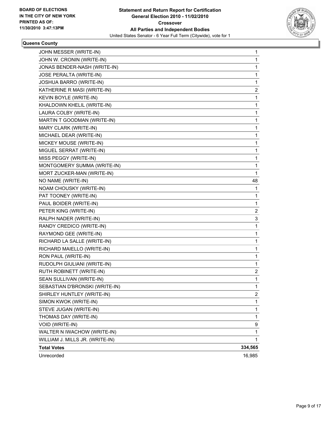

#### **Queens County**

| JOHN MESSER (WRITE-IN)          | 1       |
|---------------------------------|---------|
| JOHN W. CRONIN (WRITE-IN)       | 1       |
| JONAS BENDER-NASH (WRITE-IN)    | 1       |
| JOSE PERALTA (WRITE-IN)         | 1       |
| JOSHUA BARRO (WRITE-IN)         | 1       |
| KATHERINE R MASI (WRITE-IN)     | 2       |
| KEVIN BOYLE (WRITE-IN)          | 1       |
| KHALDOWN KHELIL (WRITE-IN)      | 1       |
| LAURA COLBY (WRITE-IN)          | 1       |
| MARTIN T GOODMAN (WRITE-IN)     | 1       |
| MARY CLARK (WRITE-IN)           | 1       |
| MICHAEL DEAR (WRITE-IN)         | 1       |
| MICKEY MOUSE (WRITE-IN)         | 1       |
| MIGUEL SERRAT (WRITE-IN)        | 1       |
| MISS PEGGY (WRITE-IN)           | 1       |
| MONTGOMERY SUMMA (WRITE-IN)     | 1       |
| MORT ZUCKER-MAN (WRITE-IN)      | 1       |
| NO NAME (WRITE-IN)              | 48      |
| NOAM CHOUSKY (WRITE-IN)         | 1       |
| PAT TOONEY (WRITE-IN)           | 1       |
| PAUL BOIDER (WRITE-IN)          | 1       |
| PETER KING (WRITE-IN)           | 2       |
| RALPH NADER (WRITE-IN)          | 3       |
| RANDY CREDICO (WRITE-IN)        | 1       |
| RAYMOND GEE (WRITE-IN)          | 1       |
| RICHARD LA SALLE (WRITE-IN)     | 1       |
| RICHARD MAIELLO (WRITE-IN)      | 1       |
| RON PAUL (WRITE-IN)             | 1       |
| RUDOLPH GIULIANI (WRITE-IN)     | 1       |
| RUTH ROBINETT (WRITE-IN)        | 2       |
| SEAN SULLIVAN (WRITE-IN)        | 1       |
| SEBASTIAN D'BRONSKI (WRITE-IN)  | 1       |
| SHIRLEY HUNTLEY (WRITE-IN)      | 2       |
| SIMON KWOK (WRITE-IN)           | 1       |
| STEVE JUGAN (WRITE-IN)          | 1       |
| THOMAS DAY (WRITE-IN)           | 1       |
| VOID (WRITE-IN)                 | 9       |
| WALTER N IWACHOW (WRITE-IN)     | 1       |
| WILLIAM J. MILLS JR. (WRITE-IN) | 1       |
| <b>Total Votes</b>              | 334,565 |
| Unrecorded                      | 16,985  |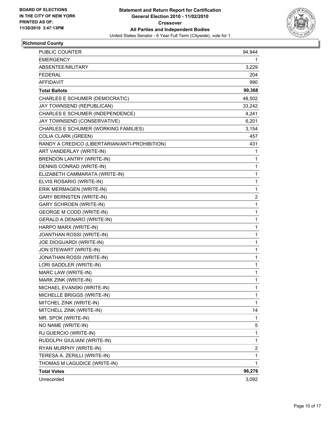

# **Richmond County**

| <b>PUBLIC COUNTER</b>                          | 94,944         |
|------------------------------------------------|----------------|
| <b>EMERGENCY</b>                               | 1.             |
| ABSENTEE/MILITARY                              | 3,229          |
| <b>FEDERAL</b>                                 | 204            |
| <b>AFFIDAVIT</b>                               | 990            |
| <b>Total Ballots</b>                           | 99,368         |
| CHARLES E SCHUMER (DEMOCRATIC)                 | 48,502         |
| JAY TOWNSEND (REPUBLICAN)                      | 33,242         |
| CHARLES E SCHUMER (INDEPENDENCE)               | 4,241          |
| JAY TOWNSEND (CONSERVATIVE)                    | 6,201          |
| CHARLES E SCHUMER (WORKING FAMILIES)           | 3,154          |
| <b>COLIA CLARK (GREEN)</b>                     | 457            |
| RANDY A CREDICO (LIBERTARIAN/ANTI-PROHIBITION) | 431            |
| ART VANDERLAY (WRITE-IN)                       | 1              |
| BRENDON LANTRY (WRITE-IN)                      | 1              |
| DENNIS CONRAD (WRITE-IN)                       | 1              |
| ELIZABETH CAMMARATA (WRITE-IN)                 | 1              |
| ELVIS ROSARIO (WRITE-IN)                       | 1              |
| ERIK MERMAGEN (WRITE-IN)                       | 1              |
| <b>GARY BERNSTEN (WRITE-IN)</b>                | 2              |
| <b>GARY SCHROEN (WRITE-IN)</b>                 | 1              |
| <b>GEORGE M CODD (WRITE-IN)</b>                | 1              |
| GERALD A DENARO (WRITE-IN)                     | 1              |
| HARPO MARX (WRITE-IN)                          | 1              |
| JOANTHAN ROSSI (WRITE-IN)                      | 1              |
| JOE DIOGUARDI (WRITE-IN)                       | 1              |
| JON STEWART (WRITE-IN)                         | 1              |
| JONATHAN ROSSI (WRITE-IN)                      | 1              |
| LORI SADDLER (WRITE-IN)                        | 1              |
| MARC LAW (WRITE-IN)                            | 1              |
| MARK ZINK (WRITE-IN)                           | 1              |
| MICHAEL EVANSKI (WRITE-IN)                     | 1              |
| MICHELLE BRIGGS (WRITE-IN)                     | 1              |
| MITCHEL ZINK (WRITE-IN)                        | 1              |
| MITCHELL ZINK (WRITE-IN)                       | 14             |
| MR. SPOK (WRITE-IN)                            | 1              |
| NO NAME (WRITE-IN)                             | 5              |
| RJ GUERCIO (WRITE-IN)                          | 1              |
| RUDOLPH GIULIANI (WRITE-IN)                    | 1              |
| RYAN MURPHY (WRITE-IN)                         | $\overline{c}$ |
| TERESA A. ZERILLI (WRITE-IN)                   | 1              |
| THOMAS M LAGUDICE (WRITE-IN)                   | 1              |
| <b>Total Votes</b>                             | 96,276         |
| Unrecorded                                     | 3,092          |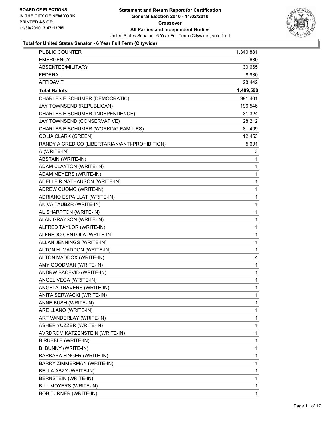

| <b>PUBLIC COUNTER</b>                          | 1,340,881 |
|------------------------------------------------|-----------|
| <b>EMERGENCY</b>                               | 680       |
| ABSENTEE/MILITARY                              | 30,665    |
| <b>FEDERAL</b>                                 | 8,930     |
| <b>AFFIDAVIT</b>                               | 28,442    |
| <b>Total Ballots</b>                           | 1,409,598 |
| CHARLES E SCHUMER (DEMOCRATIC)                 | 991,401   |
| JAY TOWNSEND (REPUBLICAN)                      | 196,546   |
| CHARLES E SCHUMER (INDEPENDENCE)               | 31,324    |
| JAY TOWNSEND (CONSERVATIVE)                    | 28,212    |
| CHARLES E SCHUMER (WORKING FAMILIES)           | 81,409    |
| <b>COLIA CLARK (GREEN)</b>                     | 12,453    |
| RANDY A CREDICO (LIBERTARIAN/ANTI-PROHIBITION) | 5,691     |
| A (WRITE-IN)                                   | 3         |
| ABSTAIN (WRITE-IN)                             | 1         |
| ADAM CLAYTON (WRITE-IN)                        | 1         |
| ADAM MEYERS (WRITE-IN)                         | 1         |
| ADELLE R NATHAUSON (WRITE-IN)                  | 1         |
| ADREW CUOMO (WRITE-IN)                         | 1         |
| ADRIANO ESPAILLAT (WRITE-IN)                   | 1         |
| AKIVA TAUBZR (WRITE-IN)                        | 1         |
| AL SHARPTON (WRITE-IN)                         | 1         |
| ALAN GRAYSON (WRITE-IN)                        | 1         |
| ALFRED TAYLOR (WRITE-IN)                       | 1         |
| ALFREDO CENTOLA (WRITE-IN)                     | 1         |
| ALLAN JENNINGS (WRITE-IN)                      | 1         |
| ALTON H. MADDON (WRITE-IN)                     | 1         |
| ALTON MADDOX (WRITE-IN)                        | 4         |
| AMY GOODMAN (WRITE-IN)                         | 1         |
| ANDRW BACEVID (WRITE-IN)                       | 1         |
| ANGEL VEGA (WRITE-IN)                          | 1         |
| ANGELA TRAVERS (WRITE-IN)                      | 1         |
| ANITA SERWACKI (WRITE-IN)                      | 1         |
| ANNE BUSH (WRITE-IN)                           | 1         |
| ARE LLANO (WRITE-IN)                           | 1         |
| ART VANDERLAY (WRITE-IN)                       | 1         |
| <b>ASHER YUZZER (WRITE-IN)</b>                 | 1         |
| AVRDROM KATZENSTEIN (WRITE-IN)                 | 1         |
| B RUBBLE (WRITE-IN)                            | 1         |
| B. BUNNY (WRITE-IN)                            | 1         |
| BARBARA FINGER (WRITE-IN)                      | 1         |
| BARRY ZIMMERMAN (WRITE-IN)                     | 1         |
| BELLA ABZY (WRITE-IN)                          | 1         |
| BERNSTEIN (WRITE-IN)                           | 1         |
| BILL MOYERS (WRITE-IN)                         | 1         |
| <b>BOB TURNER (WRITE-IN)</b>                   | 1         |
|                                                |           |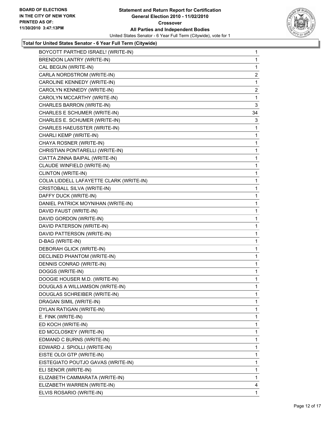| BOYCOTT PARTHED ISRAEL! (WRITE-IN)       | $\mathbf 1$    |
|------------------------------------------|----------------|
| BRENDON LANTRY (WRITE-IN)                | 1              |
| CAL BEGUN (WRITE-IN)                     | 1              |
| CARLA NORDSTROM (WRITE-IN)               | $\overline{2}$ |
| CAROLINE KENNEDY (WRITE-IN)              | 1              |
| CAROLYN KENNEDY (WRITE-IN)               | 2              |
| CAROLYN MCCARTHY (WRITE-IN)              | 1              |
| CHARLES BARRON (WRITE-IN)                | 3              |
| CHARLES E SCHUMER (WRITE-IN)             | 34             |
| CHARLES E. SCHUMER (WRITE-IN)            | 3              |
| CHARLES HAEUSSTER (WRITE-IN)             | 1              |
| CHARLI KEMP (WRITE-IN)                   | 1              |
| CHAYA ROSNER (WRITE-IN)                  | 1              |
| CHRISTIAN PONTARELLI (WRITE-IN)          | 1              |
| CIATTA ZINNA BAIPAL (WRITE-IN)           | 1              |
| CLAUDE WINFIELD (WRITE-IN)               | 1              |
| CLINTON (WRITE-IN)                       | 1              |
| COLIA LIDDELL LAFAYETTE CLARK (WRITE-IN) | 1              |
| CRISTOBALL SILVA (WRITE-IN)              | 1              |
| DAFFY DUCK (WRITE-IN)                    | 1              |
| DANIEL PATRICK MOYNIHAN (WRITE-IN)       | 1              |
| DAVID FAUST (WRITE-IN)                   | 1              |
| DAVID GORDON (WRITE-IN)                  | 1              |
| DAVID PATERSON (WRITE-IN)                | 1              |
| DAVID PATTERSON (WRITE-IN)               | 1              |
| D-BAG (WRITE-IN)                         | 1              |
| DEBORAH GLICK (WRITE-IN)                 | 1              |
| DECLINED PHANTOM (WRITE-IN)              | 1              |
| DENNIS CONRAD (WRITE-IN)                 | 1              |
| DOGGS (WRITE-IN)                         | 1              |
| DOOGIE HOUSER M.D. (WRITE-IN)            | 1              |
| DOUGLAS A WILLIAMSON (WRITE-IN)          | 1              |
| DOUGLAS SCHREIBER (WRITE-IN)             | 1              |
| DRAGAN SIMIL (WRITE-IN)                  | 1              |
| DYLAN RATIGAN (WRITE-IN)                 | 1              |
| E. FINK (WRITE-IN)                       | 1              |
| ED KOCH (WRITE-IN)                       | 1              |
| ED MCCLOSKEY (WRITE-IN)                  | 1              |
| EDMAND C BURNS (WRITE-IN)                | 1              |
| EDWARD J. SPIOLLI (WRITE-IN)             | 1              |
| EISTE OLOI GTP (WRITE-IN)                | 1              |
| EISTEGIATO POUTJO GAVAS (WRITE-IN)       | 1              |
| ELI SENOR (WRITE-IN)                     | 1              |
| ELIZABETH CAMMARATA (WRITE-IN)           | 1              |
| ELIZABETH WARREN (WRITE-IN)              | 4              |
| ELVIS ROSARIO (WRITE-IN)                 | 1.             |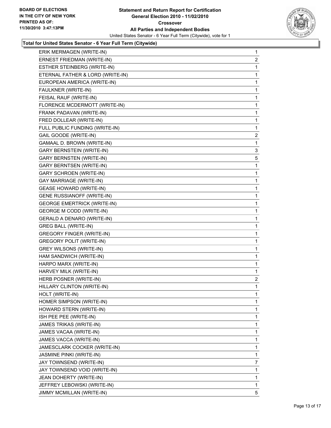

| ERIK MERMAGEN (WRITE-IN)           | $\mathbf 1$    |
|------------------------------------|----------------|
| ERNEST FRIEDMAN (WRITE-IN)         | $\mathbf{2}$   |
| ESTHER STEINBERG (WRITE-IN)        | 1              |
| ETERNAL FATHER & LORD (WRITE-IN)   | 1              |
| EUROPEAN AMERICA (WRITE-IN)        | 1              |
| FAULKNER (WRITE-IN)                | 1              |
| FEISAL RAUF (WRITE-IN)             | 1              |
| FLORENCE MCDERMOTT (WRITE-IN)      | 1              |
| FRANK PADAVAN (WRITE-IN)           | 1              |
| FRED DOLLEAR (WRITE-IN)            | 1              |
| FULL PUBLIC FUNDING (WRITE-IN)     | 1              |
| GAIL GOODE (WRITE-IN)              | $\overline{c}$ |
| GAMAAL D. BROWN (WRITE-IN)         | 1              |
| <b>GARY BERNSTEIN (WRITE-IN)</b>   | 3              |
| <b>GARY BERNSTEN (WRITE-IN)</b>    | 5              |
| <b>GARY BERNTSEN (WRITE-IN)</b>    | 1              |
| <b>GARY SCHROEN (WRITE-IN)</b>     | 1              |
| GAY MARRIAGE (WRITE-IN)            | 1              |
| <b>GEASE HOWARD (WRITE-IN)</b>     | 1              |
| <b>GENE RUSSIANOFF (WRITE-IN)</b>  | 1              |
| <b>GEORGE EMERTRICK (WRITE-IN)</b> | 1              |
| <b>GEORGE M CODD (WRITE-IN)</b>    | 1              |
| GERALD A DENARO (WRITE-IN)         | 1              |
| <b>GREG BALL (WRITE-IN)</b>        | 1              |
| <b>GREGORY FINGER (WRITE-IN)</b>   | 1              |
| <b>GREGORY POLIT (WRITE-IN)</b>    | 1              |
| <b>GREY WILSONS (WRITE-IN)</b>     | 1              |
| HAM SANDWICH (WRITE-IN)            | 1              |
| HARPO MARX (WRITE-IN)              | 1              |
| HARVEY MILK (WRITE-IN)             | 1.             |
| HERB POSNER (WRITE-IN)             | 2              |
| HILLARY CLINTON (WRITE-IN)         | 1              |
| HOLT (WRITE-IN)                    | 1              |
| HOMER SIMPSON (WRITE-IN)           | 1              |
| HOWARD STERN (WRITE-IN)            | 1              |
| ISH PEE PEE (WRITE-IN)             | 1              |
| JAMES TRIKAS (WRITE-IN)            | 1              |
| JAMES VACAA (WRITE-IN)             | 1              |
| JAMES VACCA (WRITE-IN)             | 1              |
| JAMESCLARK COCKER (WRITE-IN)       | 1              |
| JASMINE PINKI (WRITE-IN)           | 1              |
| JAY TOWNSEND (WRITE-IN)            | 7              |
| JAY TOWNSEND VOID (WRITE-IN)       | 1              |
| JEAN DOHERTY (WRITE-IN)            | 1              |
| JEFFREY LEBOWSKI (WRITE-IN)        | 1              |
| JIMMY MCMILLAN (WRITE-IN)          | 5              |
|                                    |                |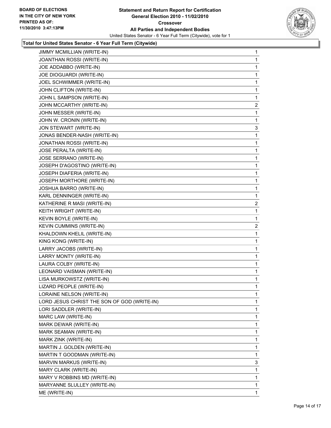

| JIMMY MCMILLIAN (WRITE-IN)                  | 1              |
|---------------------------------------------|----------------|
| JOANTHAN ROSSI (WRITE-IN)                   | 1              |
| JOE ADDABBO (WRITE-IN)                      | 1              |
| JOE DIOGUARDI (WRITE-IN)                    | 1              |
| JOEL SCHWIMMER (WRITE-IN)                   | 1              |
| JOHN CLIFTON (WRITE-IN)                     | 1              |
| JOHN L SAMPSON (WRITE-IN)                   | 1              |
| JOHN MCCARTHY (WRITE-IN)                    | 2              |
| JOHN MESSER (WRITE-IN)                      | 1              |
| JOHN W. CRONIN (WRITE-IN)                   | 1              |
| JON STEWART (WRITE-IN)                      | 3              |
| JONAS BENDER-NASH (WRITE-IN)                | 1              |
| JONATHAN ROSSI (WRITE-IN)                   | 1              |
| JOSE PERALTA (WRITE-IN)                     | 1              |
| JOSE SERRANO (WRITE-IN)                     | 1              |
| JOSEPH D'AGOSTINO (WRITE-IN)                | 1              |
| JOSEPH DIAFERIA (WRITE-IN)                  | 1              |
| JOSEPH MORTHORE (WRITE-IN)                  | 1              |
| JOSHUA BARRO (WRITE-IN)                     | 1              |
| KARL DENNINGER (WRITE-IN)                   | 1              |
| KATHERINE R MASI (WRITE-IN)                 | 2              |
| KEITH WRIGHT (WRITE-IN)                     | 1              |
| KEVIN BOYLE (WRITE-IN)                      | 1              |
| KEVIN CUMMINS (WRITE-IN)                    | $\overline{2}$ |
| KHALDOWN KHELIL (WRITE-IN)                  | 1              |
| KING KONG (WRITE-IN)                        | 1              |
| LARRY JACOBS (WRITE-IN)                     | 1              |
| LARRY MONTY (WRITE-IN)                      | 1              |
| LAURA COLBY (WRITE-IN)                      | 1              |
| LEONARD VAISMAN (WRITE-IN)                  | 1              |
| LISA MURKOWSTZ (WRITE-IN)                   | 1              |
| LIZARD PEOPLE (WRITE-IN)                    | 1              |
| LORAINE NELSON (WRITE-IN)                   | 1              |
| LORD JESUS CHRIST THE SON OF GOD (WRITE-IN) | 1              |
| LORI SADDLER (WRITE-IN)                     | 1              |
| MARC LAW (WRITE-IN)                         | 1              |
| MARK DEWAR (WRITE-IN)                       | 1              |
| MARK SEAMAN (WRITE-IN)                      | 1              |
| MARK ZINK (WRITE-IN)                        | 1              |
| MARTIN J. GOLDEN (WRITE-IN)                 | 1              |
| MARTIN T GOODMAN (WRITE-IN)                 | 1              |
| MARVIN MARKUS (WRITE-IN)                    | 3              |
| MARY CLARK (WRITE-IN)                       | 1              |
| MARY V ROBBINS MD (WRITE-IN)                | 1              |
| MARYANNE SLULLEY (WRITE-IN)                 | 1              |
| ME (WRITE-IN)                               | 1              |
|                                             |                |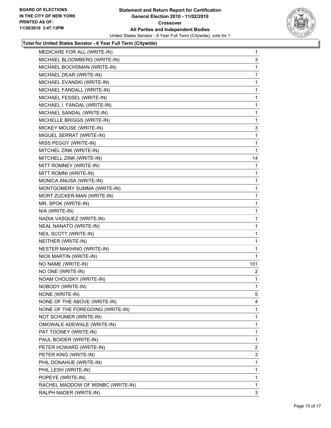

| MEDICARE FOR ALL (WRITE-IN)       | 1   |
|-----------------------------------|-----|
| MICHAEL BLOOMBERG (WRITE-IN)      | 3   |
| MICHAEL BOCHSMAN (WRITE-IN)       | 1   |
| MICHAEL DEAR (WRITE-IN)           | 1   |
| MICHAEL EVANSKI (WRITE-IN)        | 1   |
| MICHAEL FANDALL (WRITE-IN)        | 1   |
| MICHAEL FESSEL (WRITE-IN)         | 1   |
| MICHAEL I. FANDAL (WRITE-IN)      | 1   |
| MICHAEL SANDAL (WRITE-IN)         | 1   |
| MICHELLE BRIGGS (WRITE-IN)        | 1   |
| MICKEY MOUSE (WRITE-IN)           | 3   |
| MIGUEL SERRAT (WRITE-IN)          | 1   |
| MISS PEGGY (WRITE-IN)             | 1   |
| MITCHEL ZINK (WRITE-IN)           | 1   |
| MITCHELL ZINK (WRITE-IN)          | 14  |
| MITT ROMNEY (WRITE-IN)            | 1   |
| MITT ROMNI (WRITE-IN)             | 1   |
| MONICA ANUSA (WRITE-IN)           | 1   |
| MONTGOMERY SUMMA (WRITE-IN)       | 1   |
| MORT ZUCKER-MAN (WRITE-IN)        | 1   |
| MR. SPOK (WRITE-IN)               | 1   |
| N/A (WRITE-IN)                    | 1   |
| NADIA VASQUEZ (WRITE-IN)          | 1   |
| NEAL NANATO (WRITE-IN)            | 1   |
| NEIL SCOTT (WRITE-IN)             | 1   |
| NEITHER (WRITE-IN)                | 1   |
| NESTER MAKHINO (WRITE-IN)         | 1   |
| NICK MARTIN (WRITE-IN)            | 1   |
| NO NAME (WRITE-IN)                | 101 |
| NO ONE (WRITE-IN)                 | 2   |
| NOAM CHOUSKY (WRITE-IN)           | 1   |
| NOBODY (WRITE-IN)                 | 1   |
| NONE (WRITE-IN)                   | 5   |
| NONE OF THE ABOVE (WRITE-IN)      | 4   |
| NONE OF THE FOREGOING (WRITE-IN)  | 1   |
| NOT SCHUMER (WRITE-IN)            | 1   |
| OMOWALE ADEWALE (WRITE-IN)        | 1   |
| PAT TOONEY (WRITE-IN)             | 1   |
| PAUL BOIDER (WRITE-IN)            | 1   |
| PETER HOWARD (WRITE-IN)           | 2   |
| PETER KING (WRITE-IN)             | 3   |
| PHIL DONAHUE (WRITE-IN)           | 1   |
| PHIL LESH (WRITE-IN)              | 1   |
| POPEYE (WRITE-IN)                 | 1   |
| RACHEL MADDOW OF MSNBC (WRITE-IN) | 1   |
| RALPH NADER (WRITE-IN)            | 3   |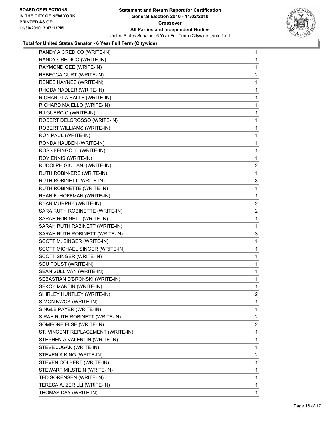

| RANDY A CREDICO (WRITE-IN)         | 1              |
|------------------------------------|----------------|
| RANDY CREDICO (WRITE-IN)           | 1              |
| RAYMOND GEE (WRITE-IN)             | 1              |
| REBECCA CURT (WRITE-IN)            | 2              |
| RENEE HAYNES (WRITE-IN)            | 1              |
| RHODA NADLER (WRITE-IN)            | 1              |
| RICHARD LA SALLE (WRITE-IN)        | 1              |
| RICHARD MAIELLO (WRITE-IN)         | 1              |
| RJ GUERCIO (WRITE-IN)              | 1              |
| ROBERT DELGROSSO (WRITE-IN)        | 1              |
| ROBERT WILLIAMS (WRITE-IN)         | 1              |
| RON PAUL (WRITE-IN)                | 1              |
| RONDA HAUBEN (WRITE-IN)            | 1              |
| ROSS FEINGOLD (WRITE-IN)           | 1              |
| ROY ENNIS (WRITE-IN)               | 1              |
| RUDOLPH GIULIANI (WRITE-IN)        | 2              |
| RUTH ROBIN-ERE (WRITE-IN)          | 1              |
| RUTH ROBINETT (WRITE-IN)           | 3              |
| RUTH ROBINETTE (WRITE-IN)          | 1              |
| RYAN E. HOFFMAN (WRITE-IN)         | 1              |
| RYAN MURPHY (WRITE-IN)             | 2              |
| SARA RUTH ROBINETTE (WRITE-IN)     | 2              |
| SARAH ROBINETT (WRITE-IN)          | 1              |
| SARAH RUTH RABINETT (WRITE-IN)     | 1              |
| SARAH RUTH ROBINETT (WRITE-IN)     | 3              |
| SCOTT M. SINGER (WRITE-IN)         | 1              |
| SCOTT MICHAEL SINGER (WRITE-IN)    | 1              |
| SCOTT SINGER (WRITE-IN)            | 1              |
| SDU FOUST (WRITE-IN)               | 1              |
| SEAN SULLIVAN (WRITE-IN)           | 1              |
| SEBASTIAN D'BRONSKI (WRITE-IN)     | 1              |
| SEKOY MARTIN (WRITE-IN)            | 1              |
| SHIRLEY HUNTLEY (WRITE-IN)         | 2              |
| SIMON KWOK (WRITE-IN)              | 1              |
| SINGLE PAYER (WRITE-IN)            | 1              |
| SIRAH RUTH ROBINETT (WRITE-IN)     | 2              |
| SOMEONE ELSE (WRITE-IN)            | $\overline{2}$ |
| ST. VINCENT REPLACEMENT (WRITE-IN) | 1              |
| STEPHEN A VALENTIN (WRITE-IN)      | 1              |
| STEVE JUGAN (WRITE-IN)             | 1              |
| STEVEN A KING (WRITE-IN)           | 2              |
| STEVEN COLBERT (WRITE-IN)          | 1              |
| STEWART MILSTEIN (WRITE-IN)        | 1              |
| TED SORENSEN (WRITE-IN)            | 1              |
| TERESA A. ZERILLI (WRITE-IN)       | 1              |
| THOMAS DAY (WRITE-IN)              | 1.             |